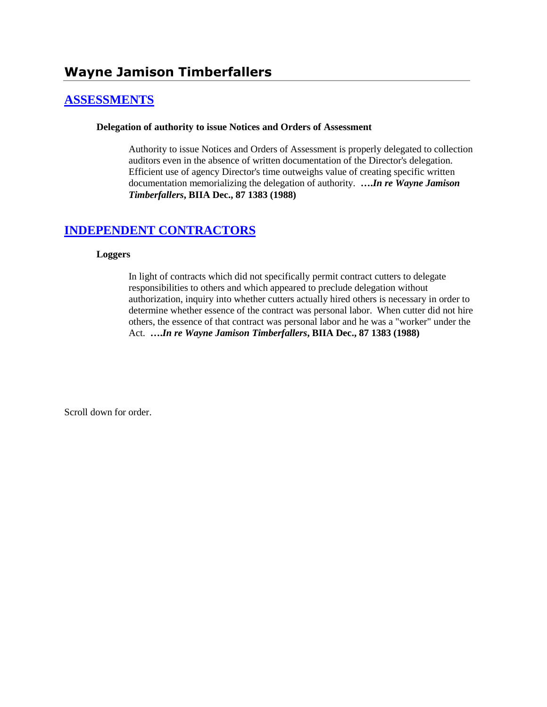# **[ASSESSMENTS](http://www.biia.wa.gov/SDSubjectIndex.html#ASSESSMENTS)**

### **Delegation of authority to issue Notices and Orders of Assessment**

Authority to issue Notices and Orders of Assessment is properly delegated to collection auditors even in the absence of written documentation of the Director's delegation. Efficient use of agency Director's time outweighs value of creating specific written documentation memorializing the delegation of authority. **….***In re Wayne Jamison Timberfallers***, BIIA Dec., 87 1383 (1988)**

# **[INDEPENDENT CONTRACTORS](http://www.biia.wa.gov/SDSubjectIndex.html#INDEPENDENT_CONTRACTORS)**

### **Loggers**

In light of contracts which did not specifically permit contract cutters to delegate responsibilities to others and which appeared to preclude delegation without authorization, inquiry into whether cutters actually hired others is necessary in order to determine whether essence of the contract was personal labor. When cutter did not hire others, the essence of that contract was personal labor and he was a "worker" under the Act. **….***In re Wayne Jamison Timberfallers***, BIIA Dec., 87 1383 (1988)** 

Scroll down for order.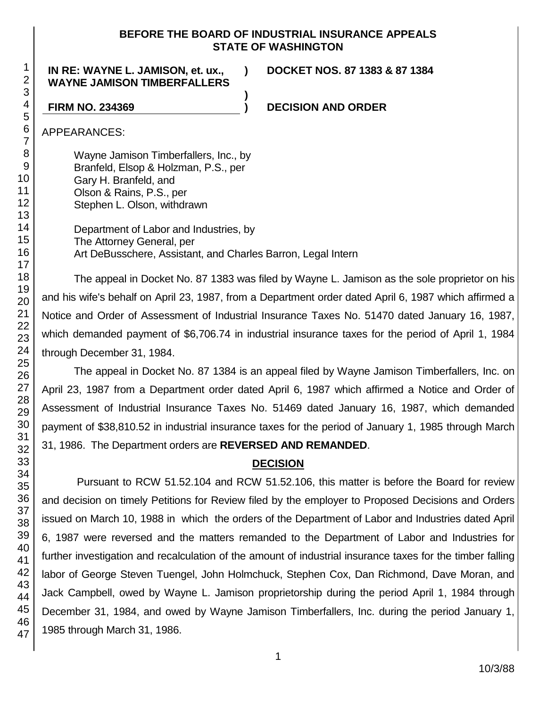## **BEFORE THE BOARD OF INDUSTRIAL INSURANCE APPEALS STATE OF WASHINGTON**

**)**

### **IN RE: WAYNE L. JAMISON, et. ux., WAYNE JAMISON TIMBERFALLERS**

**) DOCKET NOS. 87 1383 & 87 1384**

**FIRM NO. 234369 ) DECISION AND ORDER**

APPEARANCES:

Wayne Jamison Timberfallers, Inc., by Branfeld, Elsop & Holzman, P.S., per Gary H. Branfeld, and Olson & Rains, P.S., per Stephen L. Olson, withdrawn

Department of Labor and Industries, by The Attorney General, per Art DeBusschere, Assistant, and Charles Barron, Legal Intern

The appeal in Docket No. 87 1383 was filed by Wayne L. Jamison as the sole proprietor on his and his wife's behalf on April 23, 1987, from a Department order dated April 6, 1987 which affirmed a Notice and Order of Assessment of Industrial Insurance Taxes No. 51470 dated January 16, 1987, which demanded payment of \$6,706.74 in industrial insurance taxes for the period of April 1, 1984 through December 31, 1984.

The appeal in Docket No. 87 1384 is an appeal filed by Wayne Jamison Timberfallers, Inc. on April 23, 1987 from a Department order dated April 6, 1987 which affirmed a Notice and Order of Assessment of Industrial Insurance Taxes No. 51469 dated January 16, 1987, which demanded payment of \$38,810.52 in industrial insurance taxes for the period of January 1, 1985 through March 31, 1986. The Department orders are **REVERSED AND REMANDED**.

# **DECISION**

Pursuant to RCW 51.52.104 and RCW 51.52.106, this matter is before the Board for review and decision on timely Petitions for Review filed by the employer to Proposed Decisions and Orders issued on March 10, 1988 in which the orders of the Department of Labor and Industries dated April 6, 1987 were reversed and the matters remanded to the Department of Labor and Industries for further investigation and recalculation of the amount of industrial insurance taxes for the timber falling labor of George Steven Tuengel, John Holmchuck, Stephen Cox, Dan Richmond, Dave Moran, and Jack Campbell, owed by Wayne L. Jamison proprietorship during the period April 1, 1984 through December 31, 1984, and owed by Wayne Jamison Timberfallers, Inc. during the period January 1, 1985 through March 31, 1986.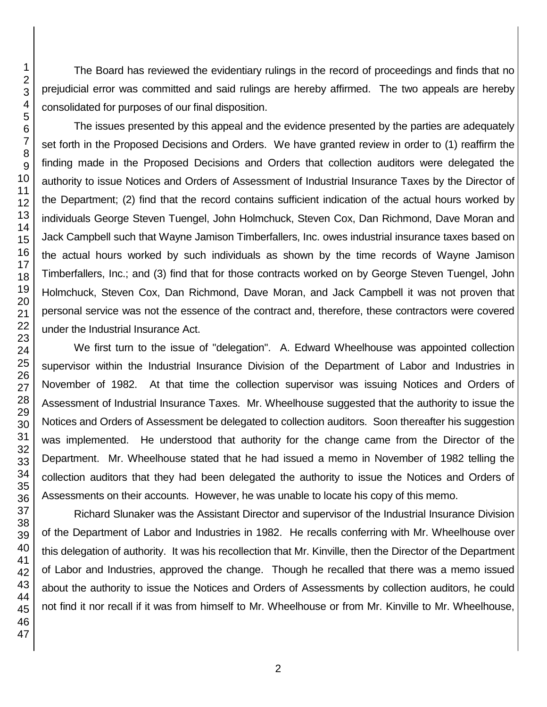The Board has reviewed the evidentiary rulings in the record of proceedings and finds that no prejudicial error was committed and said rulings are hereby affirmed. The two appeals are hereby consolidated for purposes of our final disposition.

The issues presented by this appeal and the evidence presented by the parties are adequately set forth in the Proposed Decisions and Orders. We have granted review in order to (1) reaffirm the finding made in the Proposed Decisions and Orders that collection auditors were delegated the authority to issue Notices and Orders of Assessment of Industrial Insurance Taxes by the Director of the Department; (2) find that the record contains sufficient indication of the actual hours worked by individuals George Steven Tuengel, John Holmchuck, Steven Cox, Dan Richmond, Dave Moran and Jack Campbell such that Wayne Jamison Timberfallers, Inc. owes industrial insurance taxes based on the actual hours worked by such individuals as shown by the time records of Wayne Jamison Timberfallers, Inc.; and (3) find that for those contracts worked on by George Steven Tuengel, John Holmchuck, Steven Cox, Dan Richmond, Dave Moran, and Jack Campbell it was not proven that personal service was not the essence of the contract and, therefore, these contractors were covered under the Industrial Insurance Act.

We first turn to the issue of "delegation". A. Edward Wheelhouse was appointed collection supervisor within the Industrial Insurance Division of the Department of Labor and Industries in November of 1982. At that time the collection supervisor was issuing Notices and Orders of Assessment of Industrial Insurance Taxes. Mr. Wheelhouse suggested that the authority to issue the Notices and Orders of Assessment be delegated to collection auditors. Soon thereafter his suggestion was implemented. He understood that authority for the change came from the Director of the Department. Mr. Wheelhouse stated that he had issued a memo in November of 1982 telling the collection auditors that they had been delegated the authority to issue the Notices and Orders of Assessments on their accounts. However, he was unable to locate his copy of this memo.

Richard Slunaker was the Assistant Director and supervisor of the Industrial Insurance Division of the Department of Labor and Industries in 1982. He recalls conferring with Mr. Wheelhouse over this delegation of authority. It was his recollection that Mr. Kinville, then the Director of the Department of Labor and Industries, approved the change. Though he recalled that there was a memo issued about the authority to issue the Notices and Orders of Assessments by collection auditors, he could not find it nor recall if it was from himself to Mr. Wheelhouse or from Mr. Kinville to Mr. Wheelhouse,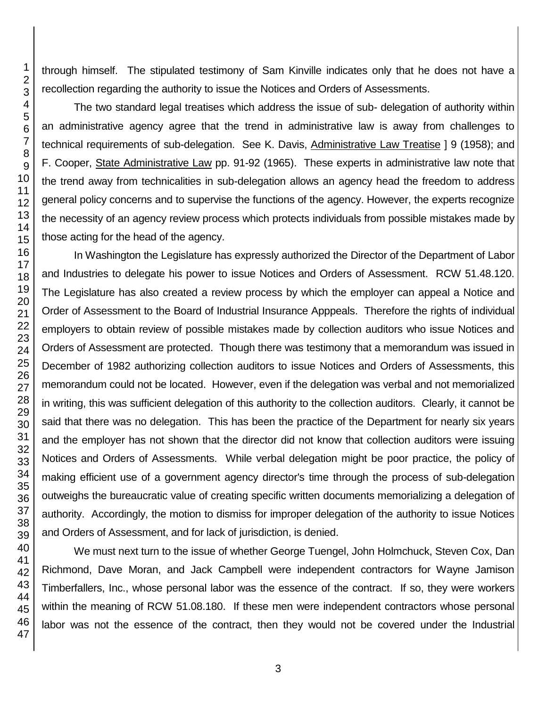through himself. The stipulated testimony of Sam Kinville indicates only that he does not have a recollection regarding the authority to issue the Notices and Orders of Assessments.

The two standard legal treatises which address the issue of sub- delegation of authority within an administrative agency agree that the trend in administrative law is away from challenges to technical requirements of sub-delegation. See K. Davis, Administrative Law Treatise ] 9 (1958); and F. Cooper, State Administrative Law pp. 91-92 (1965). These experts in administrative law note that the trend away from technicalities in sub-delegation allows an agency head the freedom to address general policy concerns and to supervise the functions of the agency. However, the experts recognize the necessity of an agency review process which protects individuals from possible mistakes made by those acting for the head of the agency.

In Washington the Legislature has expressly authorized the Director of the Department of Labor and Industries to delegate his power to issue Notices and Orders of Assessment. RCW 51.48.120. The Legislature has also created a review process by which the employer can appeal a Notice and Order of Assessment to the Board of Industrial Insurance Apppeals. Therefore the rights of individual employers to obtain review of possible mistakes made by collection auditors who issue Notices and Orders of Assessment are protected. Though there was testimony that a memorandum was issued in December of 1982 authorizing collection auditors to issue Notices and Orders of Assessments, this memorandum could not be located. However, even if the delegation was verbal and not memorialized in writing, this was sufficient delegation of this authority to the collection auditors. Clearly, it cannot be said that there was no delegation. This has been the practice of the Department for nearly six years and the employer has not shown that the director did not know that collection auditors were issuing Notices and Orders of Assessments. While verbal delegation might be poor practice, the policy of making efficient use of a government agency director's time through the process of sub-delegation outweighs the bureaucratic value of creating specific written documents memorializing a delegation of authority. Accordingly, the motion to dismiss for improper delegation of the authority to issue Notices and Orders of Assessment, and for lack of jurisdiction, is denied.

We must next turn to the issue of whether George Tuengel, John Holmchuck, Steven Cox, Dan Richmond, Dave Moran, and Jack Campbell were independent contractors for Wayne Jamison Timberfallers, Inc., whose personal labor was the essence of the contract. If so, they were workers within the meaning of RCW 51.08.180. If these men were independent contractors whose personal labor was not the essence of the contract, then they would not be covered under the Industrial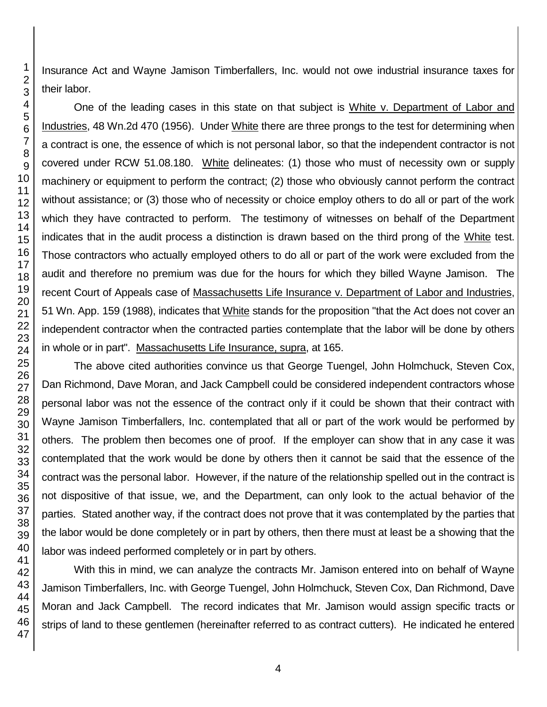Insurance Act and Wayne Jamison Timberfallers, Inc. would not owe industrial insurance taxes for their labor.

One of the leading cases in this state on that subject is White v. Department of Labor and Industries, 48 Wn.2d 470 (1956). Under White there are three prongs to the test for determining when a contract is one, the essence of which is not personal labor, so that the independent contractor is not covered under RCW 51.08.180. White delineates: (1) those who must of necessity own or supply machinery or equipment to perform the contract; (2) those who obviously cannot perform the contract without assistance; or (3) those who of necessity or choice employ others to do all or part of the work which they have contracted to perform. The testimony of witnesses on behalf of the Department indicates that in the audit process a distinction is drawn based on the third prong of the White test. Those contractors who actually employed others to do all or part of the work were excluded from the audit and therefore no premium was due for the hours for which they billed Wayne Jamison. The recent Court of Appeals case of Massachusetts Life Insurance v. Department of Labor and Industries, 51 Wn. App. 159 (1988), indicates that White stands for the proposition "that the Act does not cover an independent contractor when the contracted parties contemplate that the labor will be done by others in whole or in part". Massachusetts Life Insurance, supra, at 165.

The above cited authorities convince us that George Tuengel, John Holmchuck, Steven Cox, Dan Richmond, Dave Moran, and Jack Campbell could be considered independent contractors whose personal labor was not the essence of the contract only if it could be shown that their contract with Wayne Jamison Timberfallers, Inc. contemplated that all or part of the work would be performed by others. The problem then becomes one of proof. If the employer can show that in any case it was contemplated that the work would be done by others then it cannot be said that the essence of the contract was the personal labor. However, if the nature of the relationship spelled out in the contract is not dispositive of that issue, we, and the Department, can only look to the actual behavior of the parties. Stated another way, if the contract does not prove that it was contemplated by the parties that the labor would be done completely or in part by others, then there must at least be a showing that the labor was indeed performed completely or in part by others.

With this in mind, we can analyze the contracts Mr. Jamison entered into on behalf of Wayne Jamison Timberfallers, Inc. with George Tuengel, John Holmchuck, Steven Cox, Dan Richmond, Dave Moran and Jack Campbell. The record indicates that Mr. Jamison would assign specific tracts or strips of land to these gentlemen (hereinafter referred to as contract cutters). He indicated he entered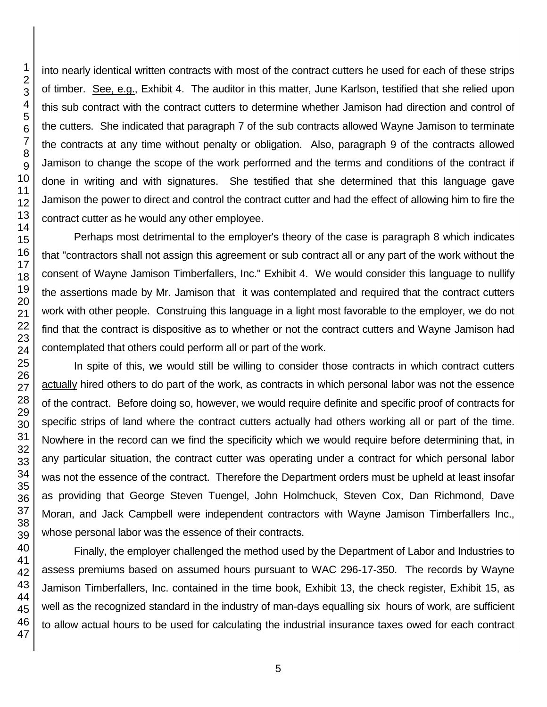into nearly identical written contracts with most of the contract cutters he used for each of these strips of timber. See, e.g., Exhibit 4. The auditor in this matter, June Karlson, testified that she relied upon this sub contract with the contract cutters to determine whether Jamison had direction and control of the cutters. She indicated that paragraph 7 of the sub contracts allowed Wayne Jamison to terminate the contracts at any time without penalty or obligation. Also, paragraph 9 of the contracts allowed Jamison to change the scope of the work performed and the terms and conditions of the contract if done in writing and with signatures. She testified that she determined that this language gave Jamison the power to direct and control the contract cutter and had the effect of allowing him to fire the contract cutter as he would any other employee.

Perhaps most detrimental to the employer's theory of the case is paragraph 8 which indicates that "contractors shall not assign this agreement or sub contract all or any part of the work without the consent of Wayne Jamison Timberfallers, Inc." Exhibit 4. We would consider this language to nullify the assertions made by Mr. Jamison that it was contemplated and required that the contract cutters work with other people. Construing this language in a light most favorable to the employer, we do not find that the contract is dispositive as to whether or not the contract cutters and Wayne Jamison had contemplated that others could perform all or part of the work.

In spite of this, we would still be willing to consider those contracts in which contract cutters actually hired others to do part of the work, as contracts in which personal labor was not the essence of the contract. Before doing so, however, we would require definite and specific proof of contracts for specific strips of land where the contract cutters actually had others working all or part of the time. Nowhere in the record can we find the specificity which we would require before determining that, in any particular situation, the contract cutter was operating under a contract for which personal labor was not the essence of the contract. Therefore the Department orders must be upheld at least insofar as providing that George Steven Tuengel, John Holmchuck, Steven Cox, Dan Richmond, Dave Moran, and Jack Campbell were independent contractors with Wayne Jamison Timberfallers Inc., whose personal labor was the essence of their contracts.

Finally, the employer challenged the method used by the Department of Labor and Industries to assess premiums based on assumed hours pursuant to WAC 296-17-350. The records by Wayne Jamison Timberfallers, Inc. contained in the time book, Exhibit 13, the check register, Exhibit 15, as well as the recognized standard in the industry of man-days equalling six hours of work, are sufficient to allow actual hours to be used for calculating the industrial insurance taxes owed for each contract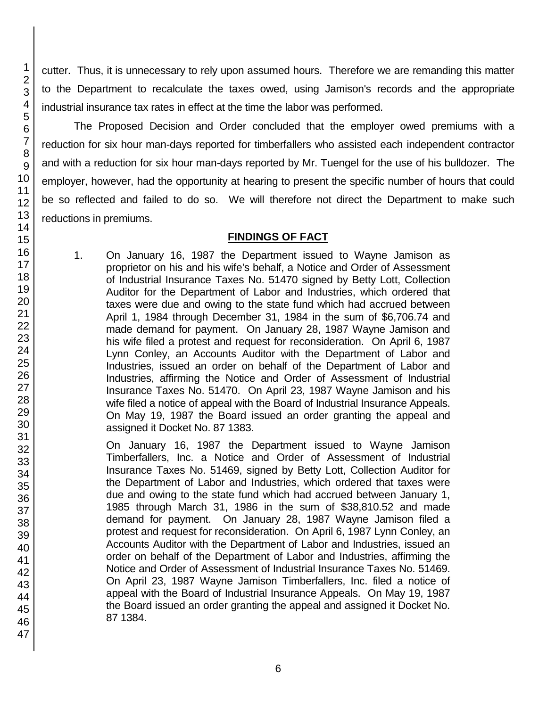cutter. Thus, it is unnecessary to rely upon assumed hours. Therefore we are remanding this matter to the Department to recalculate the taxes owed, using Jamison's records and the appropriate industrial insurance tax rates in effect at the time the labor was performed.

The Proposed Decision and Order concluded that the employer owed premiums with a reduction for six hour man-days reported for timberfallers who assisted each independent contractor and with a reduction for six hour man-days reported by Mr. Tuengel for the use of his bulldozer. The employer, however, had the opportunity at hearing to present the specific number of hours that could be so reflected and failed to do so. We will therefore not direct the Department to make such reductions in premiums.

## **FINDINGS OF FACT**

1. On January 16, 1987 the Department issued to Wayne Jamison as proprietor on his and his wife's behalf, a Notice and Order of Assessment of Industrial Insurance Taxes No. 51470 signed by Betty Lott, Collection Auditor for the Department of Labor and Industries, which ordered that taxes were due and owing to the state fund which had accrued between April 1, 1984 through December 31, 1984 in the sum of \$6,706.74 and made demand for payment. On January 28, 1987 Wayne Jamison and his wife filed a protest and request for reconsideration. On April 6, 1987 Lynn Conley, an Accounts Auditor with the Department of Labor and Industries, issued an order on behalf of the Department of Labor and Industries, affirming the Notice and Order of Assessment of Industrial Insurance Taxes No. 51470. On April 23, 1987 Wayne Jamison and his wife filed a notice of appeal with the Board of Industrial Insurance Appeals. On May 19, 1987 the Board issued an order granting the appeal and assigned it Docket No. 87 1383.

On January 16, 1987 the Department issued to Wayne Jamison Timberfallers, Inc. a Notice and Order of Assessment of Industrial Insurance Taxes No. 51469, signed by Betty Lott, Collection Auditor for the Department of Labor and Industries, which ordered that taxes were due and owing to the state fund which had accrued between January 1, 1985 through March 31, 1986 in the sum of \$38,810.52 and made demand for payment. On January 28, 1987 Wayne Jamison filed a protest and request for reconsideration. On April 6, 1987 Lynn Conley, an Accounts Auditor with the Department of Labor and Industries, issued an order on behalf of the Department of Labor and Industries, affirming the Notice and Order of Assessment of Industrial Insurance Taxes No. 51469. On April 23, 1987 Wayne Jamison Timberfallers, Inc. filed a notice of appeal with the Board of Industrial Insurance Appeals. On May 19, 1987 the Board issued an order granting the appeal and assigned it Docket No. 87 1384.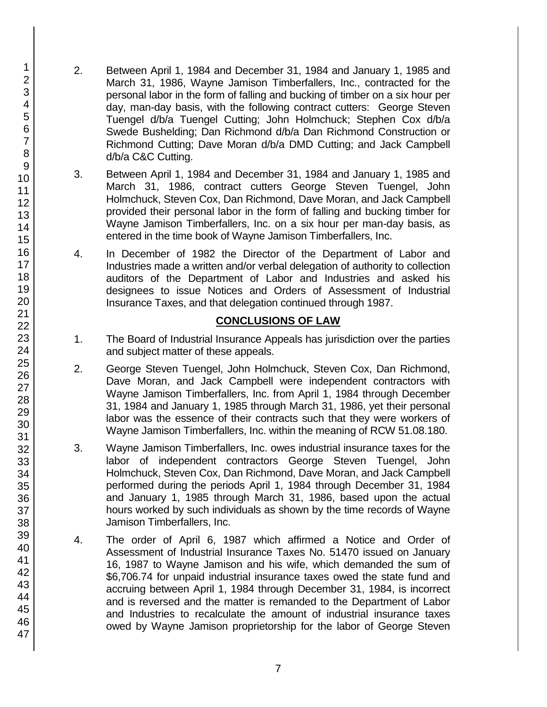- 2. Between April 1, 1984 and December 31, 1984 and January 1, 1985 and March 31, 1986, Wayne Jamison Timberfallers, Inc., contracted for the personal labor in the form of falling and bucking of timber on a six hour per day, man-day basis, with the following contract cutters: George Steven Tuengel d/b/a Tuengel Cutting; John Holmchuck; Stephen Cox d/b/a Swede Bushelding; Dan Richmond d/b/a Dan Richmond Construction or Richmond Cutting; Dave Moran d/b/a DMD Cutting; and Jack Campbell d/b/a C&C Cutting.
- 3. Between April 1, 1984 and December 31, 1984 and January 1, 1985 and March 31, 1986, contract cutters George Steven Tuengel, John Holmchuck, Steven Cox, Dan Richmond, Dave Moran, and Jack Campbell provided their personal labor in the form of falling and bucking timber for Wayne Jamison Timberfallers, Inc. on a six hour per man-day basis, as entered in the time book of Wayne Jamison Timberfallers, Inc.
- 4. In December of 1982 the Director of the Department of Labor and Industries made a written and/or verbal delegation of authority to collection auditors of the Department of Labor and Industries and asked his designees to issue Notices and Orders of Assessment of Industrial Insurance Taxes, and that delegation continued through 1987.

# **CONCLUSIONS OF LAW**

- 1. The Board of Industrial Insurance Appeals has jurisdiction over the parties and subject matter of these appeals.
- 2. George Steven Tuengel, John Holmchuck, Steven Cox, Dan Richmond, Dave Moran, and Jack Campbell were independent contractors with Wayne Jamison Timberfallers, Inc. from April 1, 1984 through December 31, 1984 and January 1, 1985 through March 31, 1986, yet their personal labor was the essence of their contracts such that they were workers of Wayne Jamison Timberfallers, Inc. within the meaning of RCW 51.08.180.
- 3. Wayne Jamison Timberfallers, Inc. owes industrial insurance taxes for the labor of independent contractors George Steven Tuengel, John Holmchuck, Steven Cox, Dan Richmond, Dave Moran, and Jack Campbell performed during the periods April 1, 1984 through December 31, 1984 and January 1, 1985 through March 31, 1986, based upon the actual hours worked by such individuals as shown by the time records of Wayne Jamison Timberfallers, Inc.
- 4. The order of April 6, 1987 which affirmed a Notice and Order of Assessment of Industrial Insurance Taxes No. 51470 issued on January 16, 1987 to Wayne Jamison and his wife, which demanded the sum of \$6,706.74 for unpaid industrial insurance taxes owed the state fund and accruing between April 1, 1984 through December 31, 1984, is incorrect and is reversed and the matter is remanded to the Department of Labor and Industries to recalculate the amount of industrial insurance taxes owed by Wayne Jamison proprietorship for the labor of George Steven